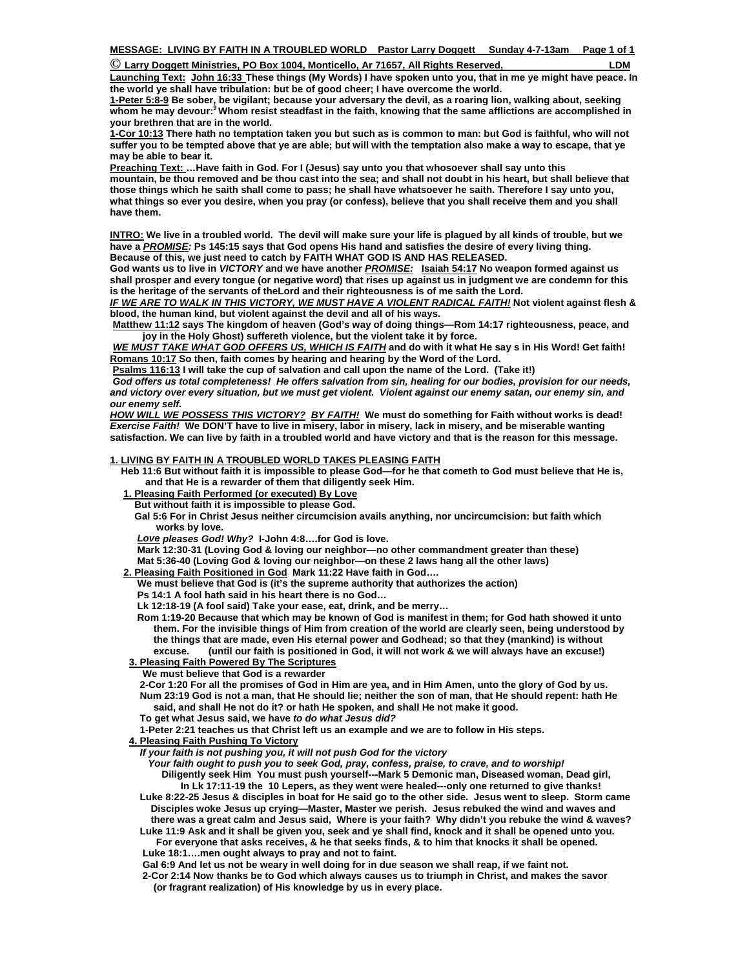| C Larry Doggett Ministries, PO Box 1004, Monticello, Ar 71657, All Rights Reserved,<br>LDM |
|--------------------------------------------------------------------------------------------|
|--------------------------------------------------------------------------------------------|

**Launching Text: John 16:33 These things (My Words) I have spoken unto you, that in me ye might have peace. In the world ye shall have tribulation: but be of good cheer; I have overcome the world.** 

**1-Peter 5:8-9 Be sober, be vigilant; because your adversary the devil, as a roaring lion, walking about, seeking whom he may devour:9 Whom resist steadfast in the faith, knowing that the same afflictions are accomplished in your brethren that are in the world.**

**1-Cor 10:13 There hath no temptation taken you but such as is common to man: but God is faithful, who will not suffer you to be tempted above that ye are able; but will with the temptation also make a way to escape, that ye may be able to bear it.** 

**Preaching Text: …Have faith in God. For I (Jesus) say unto you that whosoever shall say unto this mountain, be thou removed and be thou cast into the sea; and shall not doubt in his heart, but shall believe that those things which he saith shall come to pass; he shall have whatsoever he saith. Therefore I say unto you, what things so ever you desire, when you pray (or confess), believe that you shall receive them and you shall have them.** 

**INTRO: We live in a troubled world. The devil will make sure your life is plagued by all kinds of trouble, but we have a** *PROMISE:* **Ps 145:15 says that God opens His hand and satisfies the desire of every living thing. Because of this, we just need to catch by FAITH WHAT GOD IS AND HAS RELEASED.** 

**God wants us to live in** *VICTORY* **and we have another** *PROMISE:* **Isaiah 54:17 No weapon formed against us shall prosper and every tongue (or negative word) that rises up against us in judgment we are condemn for this is the heritage of the servants of theLord and their righteousness is of me saith the Lord.**

*IF WE ARE TO WALK IN THIS VICTORY, WE MUST HAVE A VIOLENT RADICAL FAITH!* **Not violent against flesh & blood, the human kind, but violent against the devil and all of his ways.** 

**Matthew 11:12 says The kingdom of heaven (God's way of doing things—Rom 14:17 righteousness, peace, and joy in the Holy Ghost) suffereth violence, but the violent take it by force.** 

*WE MUST TAKE WHAT GOD OFFERS US, WHICH IS FAITH* **and do with it what He say s in His Word! Get faith! Romans 10:17 So then, faith comes by hearing and hearing by the Word of the Lord.** 

**Psalms 116:13 I will take the cup of salvation and call upon the name of the Lord. (Take it!)** 

 *God offers us total completeness! He offers salvation from sin, healing for our bodies, provision for our needs, and victory over every situation, but we must get violent. Violent against our enemy satan, our enemy sin, and our enemy self.* 

*HOW WILL WE POSSESS THIS VICTORY?**BY FAITH!* **We must do something for Faith without works is dead!**  *Exercise Faith!* **We DON'T have to live in misery, labor in misery, lack in misery, and be miserable wanting satisfaction. We can live by faith in a troubled world and have victory and that is the reason for this message.** 

## **1. LIVING BY FAITH IN A TROUBLED WORLD TAKES PLEASING FAITH**

 **Heb 11:6 But without faith it is impossible to please God—for he that cometh to God must believe that He is, and that He is a rewarder of them that diligently seek Him.** 

- **1. Pleasing Faith Performed (or executed) By Love**
	- **But without faith it is impossible to please God.**
	- **Gal 5:6 For in Christ Jesus neither circumcision avails anything, nor uncircumcision: but faith which works by love.**

*Love pleases God! Why?* **I-John 4:8….for God is love.** 

 **Mark 12:30-31 (Loving God & loving our neighbor—no other commandment greater than these) Mat 5:36-40 (Loving God & loving our neighbor—on these 2 laws hang all the other laws)** 

## **2. Pleasing Faith Positioned in God Mark 11:22 Have faith in God….**

 **We must believe that God is (it's the supreme authority that authorizes the action)** 

 **Ps 14:1 A fool hath said in his heart there is no God…** 

 **Lk 12:18-19 (A fool said) Take your ease, eat, drink, and be merry…** 

 **Rom 1:19-20 Because that which may be known of God is manifest in them; for God hath showed it unto them. For the invisible things of Him from creation of the world are clearly seen, being understood by the things that are made, even His eternal power and Godhead; so that they (mankind) is without excuse. (until our faith is positioned in God, it will not work & we will always have an excuse!) 3. Pleasing Faith Powered By The Scriptures**

 **We must believe that God is a rewarder** 

 **2-Cor 1:20 For all the promises of God in Him are yea, and in Him Amen, unto the glory of God by us. Num 23:19 God is not a man, that He should lie; neither the son of man, that He should repent: hath He said, and shall He not do it? or hath He spoken, and shall He not make it good.** 

 **To get what Jesus said, we have** *to do what Jesus did?* 

 **1-Peter 2:21 teaches us that Christ left us an example and we are to follow in His steps.** 

 **4. Pleasing Faith Pushing To Victory**

*If your faith is not pushing you, it will not push God for the victory* 

 *Your faith ought to push you to seek God, pray, confess, praise, to crave, and to worship!*   **Diligently seek Him You must push yourself---Mark 5 Demonic man, Diseased woman, Dead girl, In Lk 17:11-19 the 10 Lepers, as they went were healed---only one returned to give thanks!** 

 **Luke 8:22-25 Jesus & disciples in boat for He said go to the other side. Jesus went to sleep. Storm came Disciples woke Jesus up crying—Master, Master we perish. Jesus rebuked the wind and waves and there was a great calm and Jesus said, Where is your faith? Why didn't you rebuke the wind & waves? Luke 11:9 Ask and it shall be given you, seek and ye shall find, knock and it shall be opened unto you.** 

 **For everyone that asks receives, & he that seeks finds, & to him that knocks it shall be opened. Luke 18:1….men ought always to pray and not to faint.** 

 **Gal 6:9 And let us not be weary in well doing for in due season we shall reap, if we faint not.** 

 **2-Cor 2:14 Now thanks be to God which always causes us to triumph in Christ, and makes the savor (or fragrant realization) of His knowledge by us in every place.**